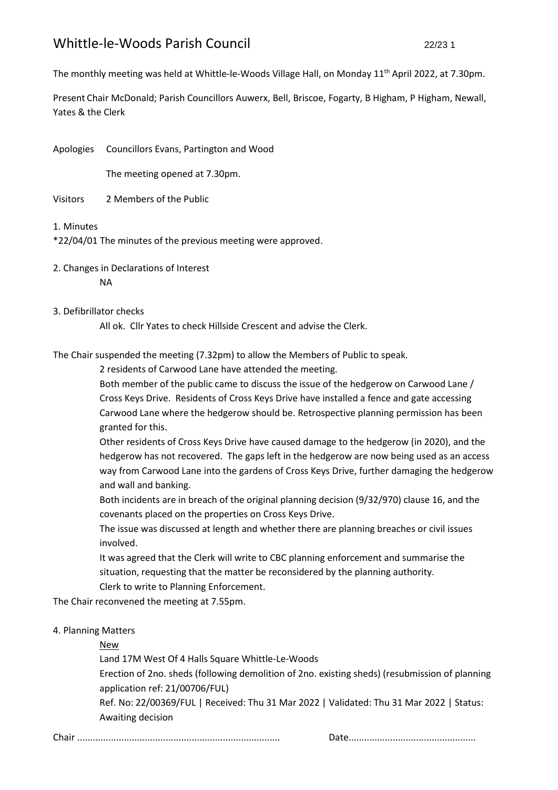The monthly meeting was held at Whittle-le-Woods Village Hall, on Monday 11<sup>th</sup> April 2022, at 7.30pm.

Present Chair McDonald; Parish Councillors Auwerx, Bell, Briscoe, Fogarty, B Higham, P Higham, Newall, Yates & the Clerk

Apologies Councillors Evans, Partington and Wood

The meeting opened at 7.30pm.

- Visitors 2 Members of the Public
- 1. Minutes

\*22/04/01 The minutes of the previous meeting were approved.

2. Changes in Declarations of Interest NA

## 3. Defibrillator checks

All ok. Cllr Yates to check Hillside Crescent and advise the Clerk.

The Chair suspended the meeting (7.32pm) to allow the Members of Public to speak.

2 residents of Carwood Lane have attended the meeting.

Both member of the public came to discuss the issue of the hedgerow on Carwood Lane / Cross Keys Drive. Residents of Cross Keys Drive have installed a fence and gate accessing Carwood Lane where the hedgerow should be. Retrospective planning permission has been granted for this.

Other residents of Cross Keys Drive have caused damage to the hedgerow (in 2020), and the hedgerow has not recovered. The gaps left in the hedgerow are now being used as an access way from Carwood Lane into the gardens of Cross Keys Drive, further damaging the hedgerow and wall and banking.

Both incidents are in breach of the original planning decision (9/32/970) clause 16, and the covenants placed on the properties on Cross Keys Drive.

The issue was discussed at length and whether there are planning breaches or civil issues involved.

It was agreed that the Clerk will write to CBC planning enforcement and summarise the situation, requesting that the matter be reconsidered by the planning authority. Clerk to write to Planning Enforcement.

The Chair reconvened the meeting at 7.55pm.

## 4. Planning Matters

## New

Land 17M West Of 4 Halls Square Whittle-Le-Woods

Erection of 2no. sheds (following demolition of 2no. existing sheds) (resubmission of planning application ref: 21/00706/FUL)

Ref. No: 22/00369/FUL | Received: Thu 31 Mar 2022 | Validated: Thu 31 Mar 2022 | Status: Awaiting decision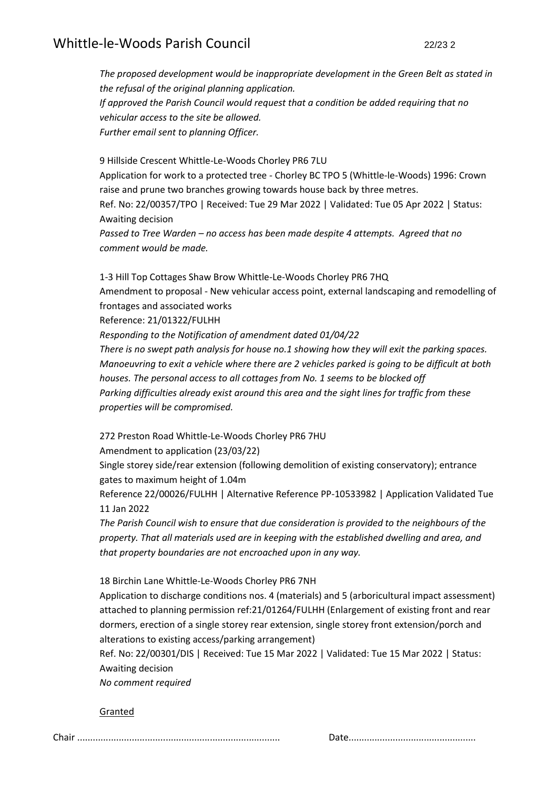*The proposed development would be inappropriate development in the Green Belt as stated in the refusal of the original planning application. If approved the Parish Council would request that a condition be added requiring that no vehicular access to the site be allowed. Further email sent to planning Officer.*

9 Hillside Crescent Whittle-Le-Woods Chorley PR6 7LU Application for work to a protected tree - Chorley BC TPO 5 (Whittle-le-Woods) 1996: Crown raise and prune two branches growing towards house back by three metres. Ref. No: 22/00357/TPO | Received: Tue 29 Mar 2022 | Validated: Tue 05 Apr 2022 | Status: Awaiting decision *Passed to Tree Warden – no access has been made despite 4 attempts. Agreed that no comment would be made.*

1-3 Hill Top Cottages Shaw Brow Whittle-Le-Woods Chorley PR6 7HQ Amendment to proposal - New vehicular access point, external landscaping and remodelling of frontages and associated works Reference: 21/01322/FULHH *Responding to the Notification of amendment dated 01/04/22 There is no swept path analysis for house no.1 showing how they will exit the parking spaces. Manoeuvring to exit a vehicle where there are 2 vehicles parked is going to be difficult at both houses. The personal access to all cottages from No. 1 seems to be blocked off Parking difficulties already exist around this area and the sight lines for traffic from these properties will be compromised.*

272 Preston Road Whittle-Le-Woods Chorley PR6 7HU

Amendment to application (23/03/22)

Single storey side/rear extension (following demolition of existing conservatory); entrance gates to maximum height of 1.04m

Reference 22/00026/FULHH | Alternative Reference PP-10533982 | Application Validated Tue 11 Jan 2022

*The Parish Council wish to ensure that due consideration is provided to the neighbours of the property. That all materials used are in keeping with the established dwelling and area, and that property boundaries are not encroached upon in any way.*

18 Birchin Lane Whittle-Le-Woods Chorley PR6 7NH

Application to discharge conditions nos. 4 (materials) and 5 (arboricultural impact assessment) attached to planning permission ref:21/01264/FULHH (Enlargement of existing front and rear dormers, erection of a single storey rear extension, single storey front extension/porch and alterations to existing access/parking arrangement)

Ref. No: 22/00301/DIS | Received: Tue 15 Mar 2022 | Validated: Tue 15 Mar 2022 | Status: Awaiting decision

*No comment required*

Granted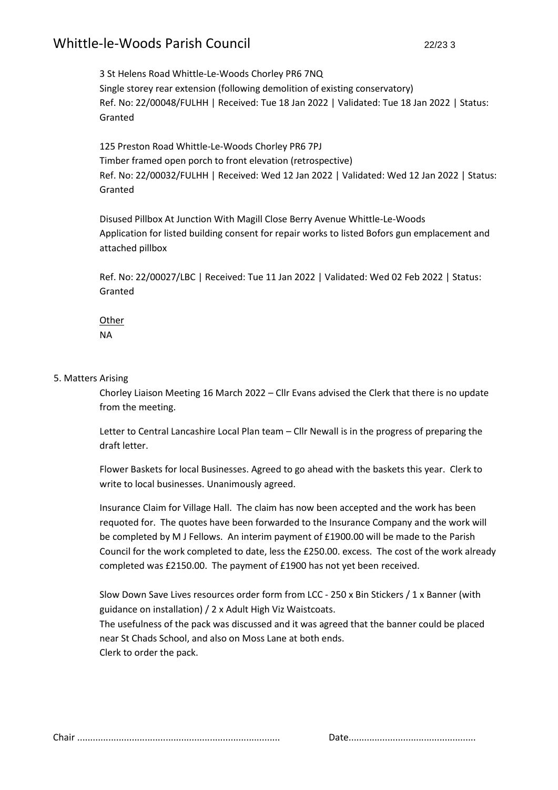3 St Helens Road Whittle-Le-Woods Chorley PR6 7NQ Single storey rear extension (following demolition of existing conservatory) Ref. No: 22/00048/FULHH | Received: Tue 18 Jan 2022 | Validated: Tue 18 Jan 2022 | Status: Granted

125 Preston Road Whittle-Le-Woods Chorley PR6 7PJ Timber framed open porch to front elevation (retrospective) Ref. No: 22/00032/FULHH | Received: Wed 12 Jan 2022 | Validated: Wed 12 Jan 2022 | Status: Granted

Disused Pillbox At Junction With Magill Close Berry Avenue Whittle-Le-Woods Application for listed building consent for repair works to listed Bofors gun emplacement and attached pillbox

Ref. No: 22/00027/LBC | Received: Tue 11 Jan 2022 | Validated: Wed 02 Feb 2022 | Status: Granted

Other NA

#### 5. Matters Arising

Chorley Liaison Meeting 16 March 2022 – Cllr Evans advised the Clerk that there is no update from the meeting.

Letter to Central Lancashire Local Plan team – Cllr Newall is in the progress of preparing the draft letter.

Flower Baskets for local Businesses. Agreed to go ahead with the baskets this year. Clerk to write to local businesses. Unanimously agreed.

Insurance Claim for Village Hall. The claim has now been accepted and the work has been requoted for. The quotes have been forwarded to the Insurance Company and the work will be completed by M J Fellows. An interim payment of £1900.00 will be made to the Parish Council for the work completed to date, less the £250.00. excess. The cost of the work already completed was £2150.00. The payment of £1900 has not yet been received.

Slow Down Save Lives resources order form from LCC - 250 x Bin Stickers / 1 x Banner (with guidance on installation) / 2 x Adult High Viz Waistcoats. The usefulness of the pack was discussed and it was agreed that the banner could be placed near St Chads School, and also on Moss Lane at both ends. Clerk to order the pack.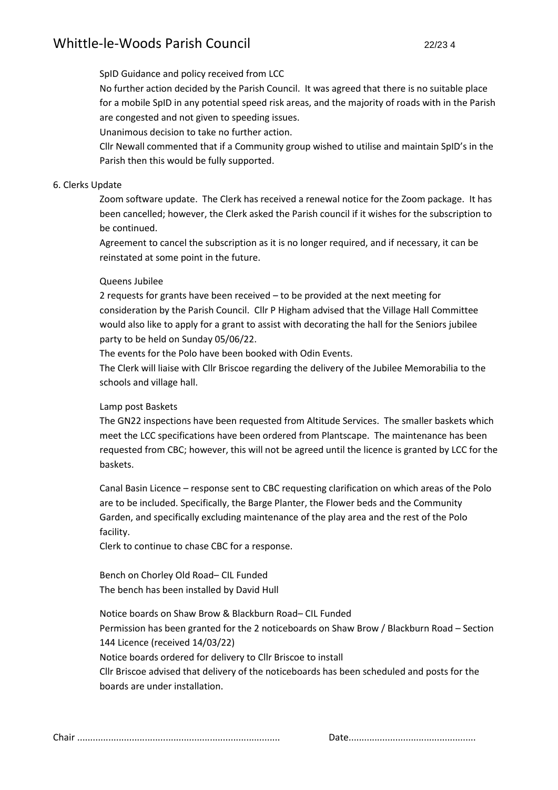#### SpID Guidance and policy received from LCC

No further action decided by the Parish Council. It was agreed that there is no suitable place for a mobile SpID in any potential speed risk areas, and the majority of roads with in the Parish are congested and not given to speeding issues.

Unanimous decision to take no further action.

Cllr Newall commented that if a Community group wished to utilise and maintain SpID's in the Parish then this would be fully supported.

#### 6. Clerks Update

Zoom software update. The Clerk has received a renewal notice for the Zoom package. It has been cancelled; however, the Clerk asked the Parish council if it wishes for the subscription to be continued.

Agreement to cancel the subscription as it is no longer required, and if necessary, it can be reinstated at some point in the future.

#### Queens Jubilee

2 requests for grants have been received – to be provided at the next meeting for consideration by the Parish Council. Cllr P Higham advised that the Village Hall Committee would also like to apply for a grant to assist with decorating the hall for the Seniors jubilee party to be held on Sunday 05/06/22.

The events for the Polo have been booked with Odin Events.

The Clerk will liaise with Cllr Briscoe regarding the delivery of the Jubilee Memorabilia to the schools and village hall.

## Lamp post Baskets

The GN22 inspections have been requested from Altitude Services. The smaller baskets which meet the LCC specifications have been ordered from Plantscape. The maintenance has been requested from CBC; however, this will not be agreed until the licence is granted by LCC for the baskets.

Canal Basin Licence – response sent to CBC requesting clarification on which areas of the Polo are to be included. Specifically, the Barge Planter, the Flower beds and the Community Garden, and specifically excluding maintenance of the play area and the rest of the Polo facility.

Clerk to continue to chase CBC for a response.

Bench on Chorley Old Road– CIL Funded The bench has been installed by David Hull

Notice boards on Shaw Brow & Blackburn Road– CIL Funded

Permission has been granted for the 2 noticeboards on Shaw Brow / Blackburn Road – Section 144 Licence (received 14/03/22)

Notice boards ordered for delivery to Cllr Briscoe to install

Cllr Briscoe advised that delivery of the noticeboards has been scheduled and posts for the boards are under installation.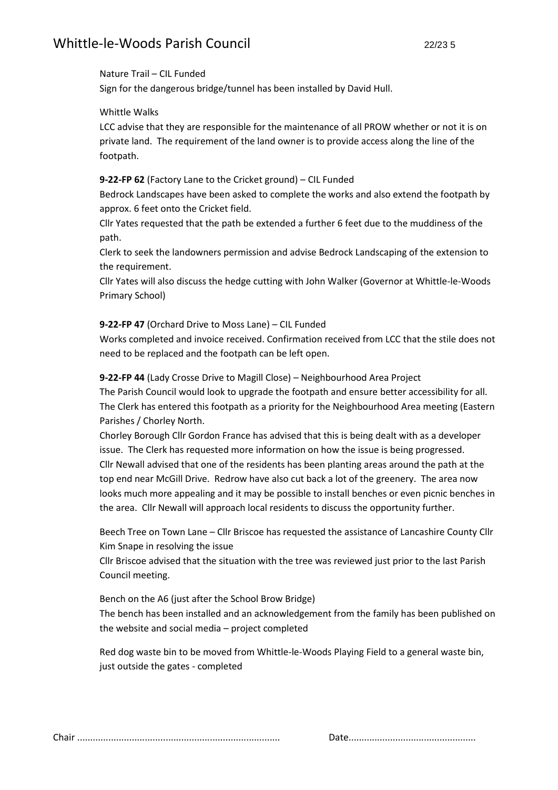#### Nature Trail – CIL Funded

Sign for the dangerous bridge/tunnel has been installed by David Hull.

## Whittle Walks

LCC advise that they are responsible for the maintenance of all PROW whether or not it is on private land. The requirement of the land owner is to provide access along the line of the footpath.

## **9-22-FP 62** (Factory Lane to the Cricket ground) – CIL Funded

Bedrock Landscapes have been asked to complete the works and also extend the footpath by approx. 6 feet onto the Cricket field.

Cllr Yates requested that the path be extended a further 6 feet due to the muddiness of the path.

Clerk to seek the landowners permission and advise Bedrock Landscaping of the extension to the requirement.

Cllr Yates will also discuss the hedge cutting with John Walker (Governor at Whittle-le-Woods Primary School)

## **9-22-FP 47** (Orchard Drive to Moss Lane) – CIL Funded

Works completed and invoice received. Confirmation received from LCC that the stile does not need to be replaced and the footpath can be left open.

**9-22-FP 44** (Lady Crosse Drive to Magill Close) – Neighbourhood Area Project

The Parish Council would look to upgrade the footpath and ensure better accessibility for all. The Clerk has entered this footpath as a priority for the Neighbourhood Area meeting (Eastern Parishes / Chorley North.

Chorley Borough Cllr Gordon France has advised that this is being dealt with as a developer issue. The Clerk has requested more information on how the issue is being progressed. Cllr Newall advised that one of the residents has been planting areas around the path at the top end near McGill Drive. Redrow have also cut back a lot of the greenery. The area now looks much more appealing and it may be possible to install benches or even picnic benches in the area. Cllr Newall will approach local residents to discuss the opportunity further.

Beech Tree on Town Lane – Cllr Briscoe has requested the assistance of Lancashire County Cllr Kim Snape in resolving the issue

Cllr Briscoe advised that the situation with the tree was reviewed just prior to the last Parish Council meeting.

Bench on the A6 (just after the School Brow Bridge) The bench has been installed and an acknowledgement from the family has been published on the website and social media – project completed

Red dog waste bin to be moved from Whittle-le-Woods Playing Field to a general waste bin, just outside the gates - completed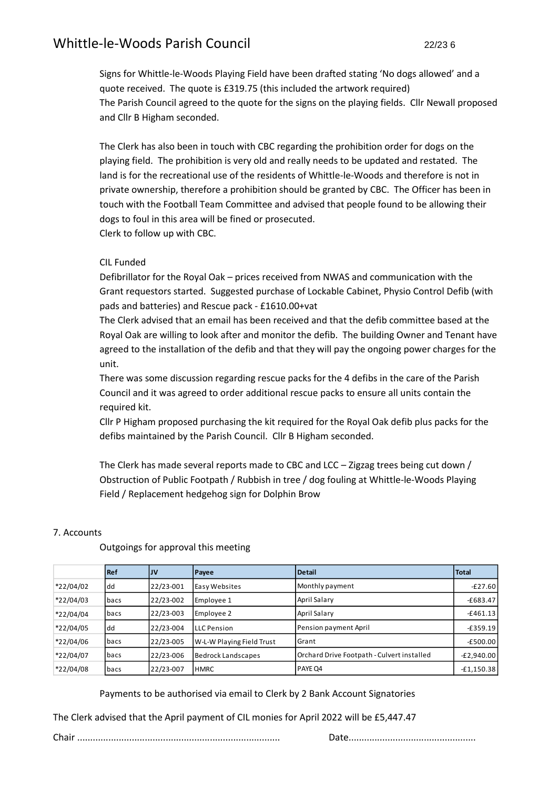Signs for Whittle-le-Woods Playing Field have been drafted stating 'No dogs allowed' and a quote received. The quote is £319.75 (this included the artwork required) The Parish Council agreed to the quote for the signs on the playing fields. Cllr Newall proposed and Cllr B Higham seconded.

The Clerk has also been in touch with CBC regarding the prohibition order for dogs on the playing field. The prohibition is very old and really needs to be updated and restated. The land is for the recreational use of the residents of Whittle-le-Woods and therefore is not in private ownership, therefore a prohibition should be granted by CBC. The Officer has been in touch with the Football Team Committee and advised that people found to be allowing their dogs to foul in this area will be fined or prosecuted. Clerk to follow up with CBC.

#### CIL Funded

Defibrillator for the Royal Oak – prices received from NWAS and communication with the Grant requestors started. Suggested purchase of Lockable Cabinet, Physio Control Defib (with pads and batteries) and Rescue pack - £1610.00+vat

The Clerk advised that an email has been received and that the defib committee based at the Royal Oak are willing to look after and monitor the defib. The building Owner and Tenant have agreed to the installation of the defib and that they will pay the ongoing power charges for the unit.

There was some discussion regarding rescue packs for the 4 defibs in the care of the Parish Council and it was agreed to order additional rescue packs to ensure all units contain the required kit.

Cllr P Higham proposed purchasing the kit required for the Royal Oak defib plus packs for the defibs maintained by the Parish Council. Cllr B Higham seconded.

The Clerk has made several reports made to CBC and LCC – Zigzag trees being cut down / Obstruction of Public Footpath / Rubbish in tree / dog fouling at Whittle-le-Woods Playing Field / Replacement hedgehog sign for Dolphin Brow

|             | <b>Ref</b>  | IJV       | Payee                     | Detail                                     | <b>Total</b> |
|-------------|-------------|-----------|---------------------------|--------------------------------------------|--------------|
| *22/04/02   | l dd        | 22/23-001 | Easy Websites             | Monthly payment                            | $-£27.60$    |
| $*22/04/03$ | bacs        | 22/23-002 | Employee 1                | April Salary                               | $-£683.47$   |
| *22/04/04   | bacs        | 22/23-003 | Employee 2                | April Salary                               | $-£461.13$   |
| *22/04/05   | dd          | 22/23-004 | <b>LLC</b> Pension        | Pension payment April                      | $-£359.19$   |
| *22/04/06   | <b>bacs</b> | 22/23-005 | W-L-W Playing Field Trust | l Grant                                    | $-E500.00$   |
| *22/04/07   | bacs        | 22/23-006 | <b>Bedrock Landscapes</b> | Orchard Drive Footpath - Culvert installed | $-E2,940.00$ |
| *22/04/08   | bacs        | 22/23-007 | <b>HMRC</b>               | <b>PAYE Q4</b>                             | $-E1,150.38$ |

## 7. Accounts

Outgoings for approval this meeting

Payments to be authorised via email to Clerk by 2 Bank Account Signatories

The Clerk advised that the April payment of CIL monies for April 2022 will be £5,447.47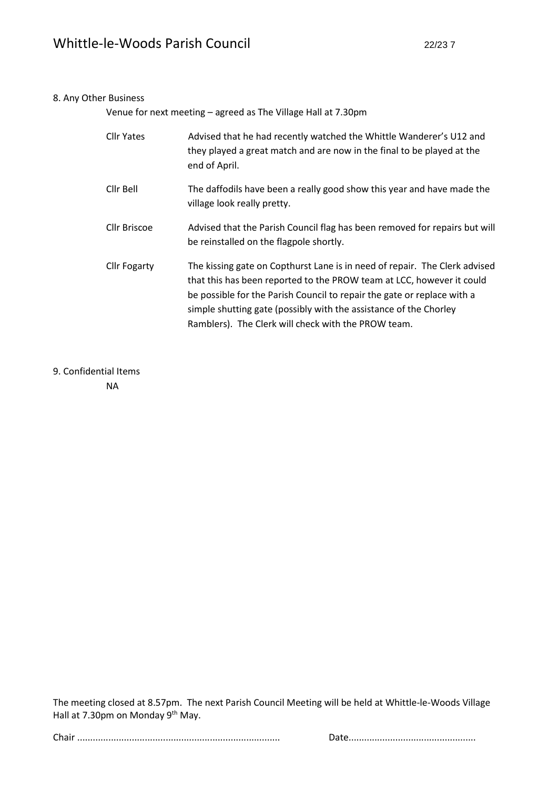#### 8. Any Other Business

Venue for next meeting – agreed as The Village Hall at 7.30pm

| <b>Cllr Yates</b>   | Advised that he had recently watched the Whittle Wanderer's U12 and<br>they played a great match and are now in the final to be played at the<br>end of April.                                                                                                                                                                                             |
|---------------------|------------------------------------------------------------------------------------------------------------------------------------------------------------------------------------------------------------------------------------------------------------------------------------------------------------------------------------------------------------|
| Cllr Bell           | The daffodils have been a really good show this year and have made the<br>village look really pretty.                                                                                                                                                                                                                                                      |
| Cllr Briscoe        | Advised that the Parish Council flag has been removed for repairs but will<br>be reinstalled on the flagpole shortly.                                                                                                                                                                                                                                      |
| <b>Cllr Fogarty</b> | The kissing gate on Copthurst Lane is in need of repair. The Clerk advised<br>that this has been reported to the PROW team at LCC, however it could<br>be possible for the Parish Council to repair the gate or replace with a<br>simple shutting gate (possibly with the assistance of the Chorley<br>Ramblers). The Clerk will check with the PROW team. |

## 9. Confidential Items

NA

The meeting closed at 8.57pm. The next Parish Council Meeting will be held at Whittle-le-Woods Village Hall at 7.30pm on Monday 9<sup>th</sup> May.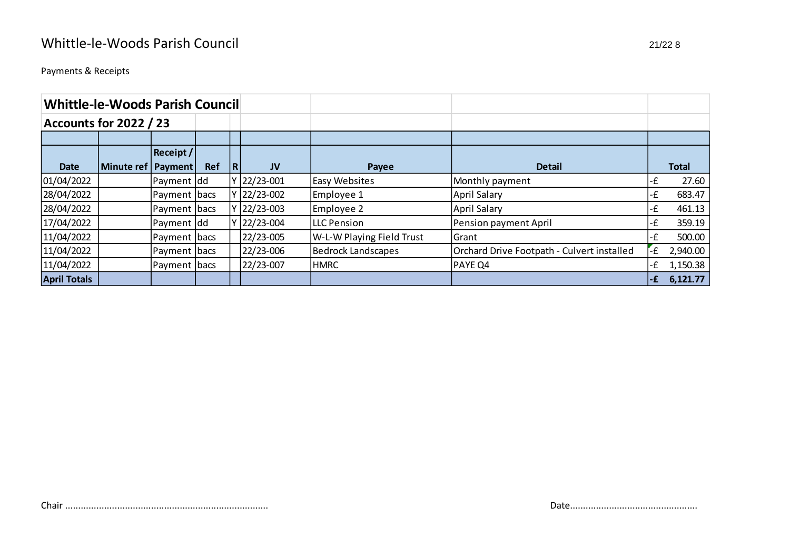Payments & Receipts

| <b>Whittle-le-Woods Parish Council</b> |            |               |            |   |               |                           |                                            |     |              |
|----------------------------------------|------------|---------------|------------|---|---------------|---------------------------|--------------------------------------------|-----|--------------|
| <b>Accounts for 2022 / 23</b>          |            |               |            |   |               |                           |                                            |     |              |
|                                        |            |               |            |   |               |                           |                                            |     |              |
| Receipt /                              |            |               |            |   |               |                           |                                            |     |              |
| <b>Date</b>                            | Minute ref | Payment       | <b>Ref</b> | R | <b>JV</b>     | Payee                     | <b>Detail</b>                              |     | <b>Total</b> |
| 01/04/2022                             |            | Payment dd    |            | ۷ | $ 22/23-001 $ | <b>Easy Websites</b>      | Monthly payment                            | -£  | 27.60        |
| 28/04/2022                             |            | Payment  bacs |            | ۷ | $ 22/23-002 $ | Employee 1                | <b>April Salary</b>                        | -£  | 683.47       |
| 28/04/2022                             |            | Payment bacs  |            | v | $ 22/23-003 $ | Employee 2                | <b>April Salary</b>                        | -£  | 461.13       |
| 17/04/2022                             |            | Payment dd    |            | ۷ | 22/23-004     | LLC Pension               | Pension payment April                      | -£  | 359.19       |
| 11/04/2022                             |            | Payment bacs  |            |   | 22/23-005     | W-L-W Playing Field Trust | Grant                                      | -£  | 500.00       |
| 11/04/2022                             |            | Payment  bacs |            |   | 22/23-006     | <b>Bedrock Landscapes</b> | Orchard Drive Footpath - Culvert installed | ٠£  | 2,940.00     |
| 11/04/2022                             |            | Payment bacs  |            |   | 22/23-007     | <b>HMRC</b>               | PAYE Q4                                    | ٠£  | 1,150.38     |
| <b>April Totals</b>                    |            |               |            |   |               |                           |                                            | l-£ | 6,121.77     |